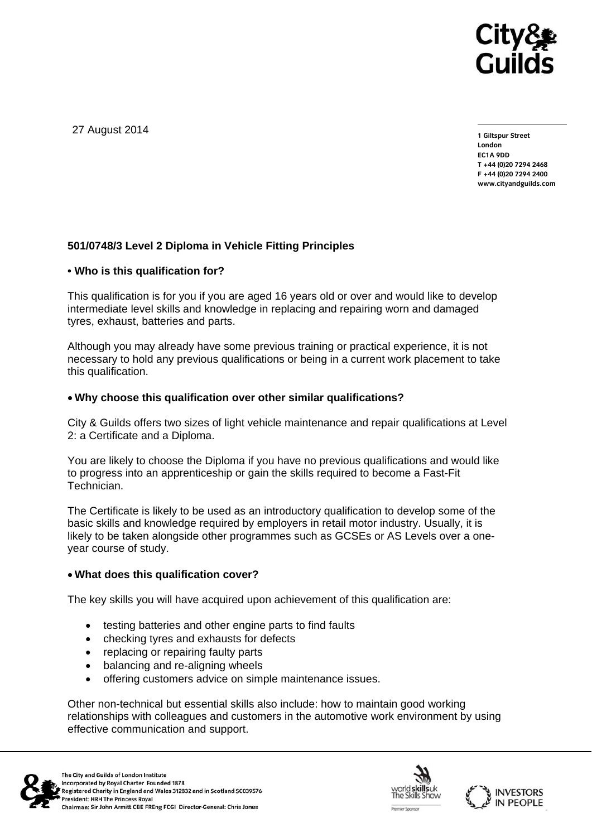

27 August 2014

**1 Giltspur Street London EC1A 9DD T +44 (0)20 7294 2468 F +44 (0)20 7294 2400 www.cityandguilds.com** 

# **501/0748/3 Level 2 Diploma in Vehicle Fitting Principles**

#### **• Who is this qualification for?**

This qualification is for you if you are aged 16 years old or over and would like to develop intermediate level skills and knowledge in replacing and repairing worn and damaged tyres, exhaust, batteries and parts.

Although you may already have some previous training or practical experience, it is not necessary to hold any previous qualifications or being in a current work placement to take this qualification.

#### **Why choose this qualification over other similar qualifications?**

City & Guilds offers two sizes of light vehicle maintenance and repair qualifications at Level 2: a Certificate and a Diploma.

You are likely to choose the Diploma if you have no previous qualifications and would like to progress into an apprenticeship or gain the skills required to become a Fast-Fit Technician.

The Certificate is likely to be used as an introductory qualification to develop some of the basic skills and knowledge required by employers in retail motor industry. Usually, it is likely to be taken alongside other programmes such as GCSEs or AS Levels over a oneyear course of study.

# **What does this qualification cover?**

The key skills you will have acquired upon achievement of this qualification are:

- testing batteries and other engine parts to find faults
- checking tyres and exhausts for defects
- replacing or repairing faulty parts
- balancing and re-aligning wheels
- offering customers advice on simple maintenance issues.

Other non-technical but essential skills also include: how to maintain good working relationships with colleagues and customers in the automotive work environment by using effective communication and support.